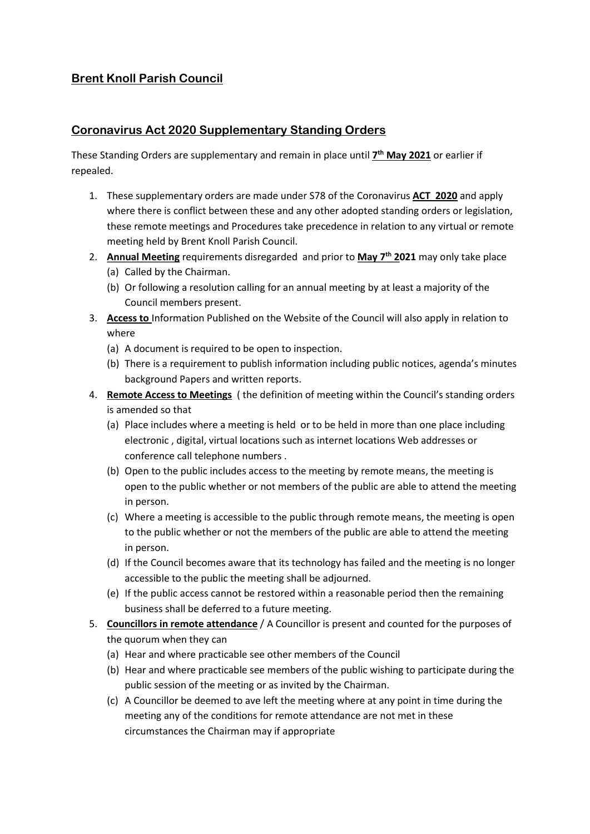# Brent Knoll Parish Council

## Coronavirus Act 2020 Supplementary Standing Orders

These Standing Orders are supplementary and remain in place until 7<sup>th</sup> May 2021 or earlier if repealed.

- 1. These supplementary orders are made under S78 of the Coronavirus ACT 2020 and apply where there is conflict between these and any other adopted standing orders or legislation, these remote meetings and Procedures take precedence in relation to any virtual or remote meeting held by Brent Knoll Parish Council.
- 2. Annual Meeting requirements disregarded and prior to May 7<sup>th</sup> 2021 may only take place (a) Called by the Chairman.
	- (b) Or following a resolution calling for an annual meeting by at least a majority of the Council members present.
- 3. Access to Information Published on the Website of the Council will also apply in relation to where
	- (a) A document is required to be open to inspection.
	- (b) There is a requirement to publish information including public notices, agenda's minutes background Papers and written reports.
- 4. Remote Access to Meetings (the definition of meeting within the Council's standing orders is amended so that
	- (a) Place includes where a meeting is held or to be held in more than one place including electronic , digital, virtual locations such as internet locations Web addresses or conference call telephone numbers .
	- (b) Open to the public includes access to the meeting by remote means, the meeting is open to the public whether or not members of the public are able to attend the meeting in person.
	- (c) Where a meeting is accessible to the public through remote means, the meeting is open to the public whether or not the members of the public are able to attend the meeting in person.
	- (d) If the Council becomes aware that its technology has failed and the meeting is no longer accessible to the public the meeting shall be adjourned.
	- (e) If the public access cannot be restored within a reasonable period then the remaining business shall be deferred to a future meeting.
- 5. Councillors in remote attendance / A Councillor is present and counted for the purposes of the quorum when they can
	- (a) Hear and where practicable see other members of the Council
	- (b) Hear and where practicable see members of the public wishing to participate during the public session of the meeting or as invited by the Chairman.
	- (c) A Councillor be deemed to ave left the meeting where at any point in time during the meeting any of the conditions for remote attendance are not met in these circumstances the Chairman may if appropriate